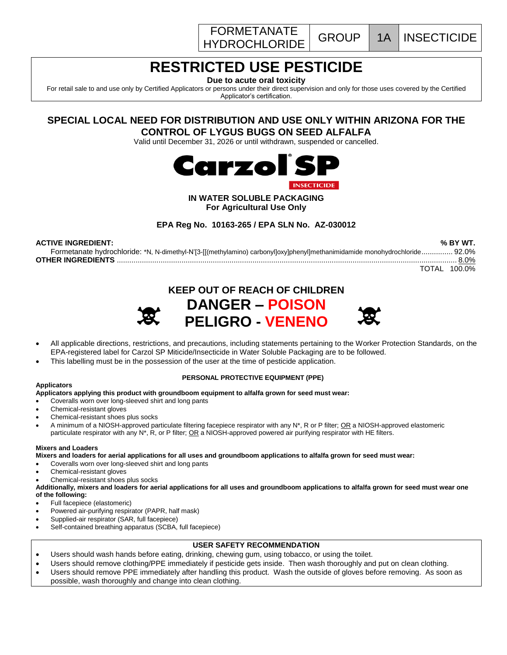



# **RESTRICTED USE PESTICIDE**

**Due to acute oral toxicity**

For retail sale to and use only by Certified Applicators or persons under their direct supervision and only for those uses covered by the Certified Applicator's certification.

# **SPECIAL LOCAL NEED FOR DISTRIBUTION AND USE ONLY WITHIN ARIZONA FOR THE CONTROL OF LYGUS BUGS ON SEED ALFALFA**

Valid until December 31, 2026 or until withdrawn, suspended or cancelled.



## **IN WATER SOLUBLE PACKAGING For Agricultural Use Only**

**EPA Reg No. 10163-265 / EPA SLN No. AZ-030012**

| <b>ACTIVE INGREDIENT:</b>                                                                                                  | % BY WT.     |
|----------------------------------------------------------------------------------------------------------------------------|--------------|
| Formetanate hydrochloride: *N, N-dimethyl-N'[3-[[(methylamino) carbonyl]oxy]phenyl]methanimidamide monohydrochloride 92.0% |              |
|                                                                                                                            |              |
|                                                                                                                            | TOTAL 100.0% |







- All applicable directions, restrictions, and precautions, including statements pertaining to the Worker Protection Standards, on the EPA-registered label for Carzol SP Miticide/Insecticide in Water Soluble Packaging are to be followed.
- This labelling must be in the possession of the user at the time of pesticide application.

## **PERSONAL PROTECTIVE EQUIPMENT (PPE)**

## **Applicators**

## **Applicators applying this product with groundboom equipment to alfalfa grown for seed must wear:**

- Coveralls worn over long-sleeved shirt and long pants
- Chemical-resistant gloves
- Chemical-resistant shoes plus socks
- A minimum of a NIOSH-approved particulate filtering facepiece respirator with any N\*, R or P filter; OR a NIOSH-approved elastomeric particulate respirator with any N\*, R, or P filter; OR a NIOSH-approved powered air purifying respirator with HE filters.

#### **Mixers and Loaders**

**Mixers and loaders for aerial applications for all uses and groundboom applications to alfalfa grown for seed must wear:** 

- Coveralls worn over long-sleeved shirt and long pants
- Chemical-resistant gloves
- Chemical-resistant shoes plus socks

**Additionally, mixers and loaders for aerial applications for all uses and groundboom applications to alfalfa grown for seed must wear one of the following:**

- Full facepiece (elastomeric)
- Powered air-purifying respirator (PAPR, half mask)
- Supplied-air respirator (SAR, full facepiece)
- Self-contained breathing apparatus (SCBA, full facepiece)

## **USER SAFETY RECOMMENDATION**

- Users should wash hands before eating, drinking, chewing gum, using tobacco, or using the toilet.
- Users should remove clothing/PPE immediately if pesticide gets inside. Then wash thoroughly and put on clean clothing.
- Users should remove PPE immediately after handling this product. Wash the outside of gloves before removing. As soon as possible, wash thoroughly and change into clean clothing.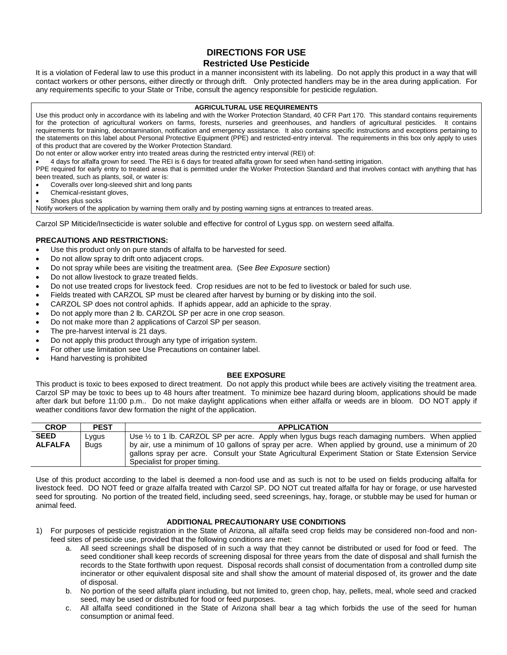## **DIRECTIONS FOR USE Restricted Use Pesticide**

It is a violation of Federal law to use this product in a manner inconsistent with its labeling. Do not apply this product in a way that will contact workers or other persons, either directly or through drift. Only protected handlers may be in the area during application. For any requirements specific to your State or Tribe, consult the agency responsible for pesticide regulation.

#### **AGRICULTURAL USE REQUIREMENTS**

Use this product only in accordance with its labeling and with the Worker Protection Standard, 40 CFR Part 170. This standard contains requirements for the protection of agricultural workers on farms, forests, nurseries and greenhouses, and handlers of agricultural pesticides. It contains requirements for training, decontamination, notification and emergency assistance. It also contains specific instructions and exceptions pertaining to the statements on this label about Personal Protective Equipment (PPE) and restricted-entry interval. The requirements in this box only apply to uses of this product that are covered by the Worker Protection Standard.

Do not enter or allow worker entry into treated areas during the restricted entry interval (REI) of:

4 days for alfalfa grown for seed. The REI is 6 days for treated alfalfa grown for seed when hand-setting irrigation.

PPE required for early entry to treated areas that is permitted under the Worker Protection Standard and that involves contact with anything that has been treated, such as plants, soil, or water is:

- Coveralls over long-sleeved shirt and long pants
- Chemical-resistant gloves,
- Shoes plus socks

Notify workers of the application by warning them orally and by posting warning signs at entrances to treated areas.

Carzol SP Miticide/Insecticide is water soluble and effective for control of Lygus spp. on western seed alfalfa.

## **PRECAUTIONS AND RESTRICTIONS:**

- Use this product only on pure stands of alfalfa to be harvested for seed.
- Do not allow spray to drift onto adjacent crops.
- Do not spray while bees are visiting the treatment area. (See *Bee Exposure* section)
- Do not allow livestock to graze treated fields.
- Do not use treated crops for livestock feed. Crop residues are not to be fed to livestock or baled for such use.
- Fields treated with CARZOL SP must be cleared after harvest by burning or by disking into the soil.
- CARZOL SP does not control aphids. If aphids appear, add an aphicide to the spray.
- Do not apply more than 2 lb. CARZOL SP per acre in one crop season.
- Do not make more than 2 applications of Carzol SP per season.
- The pre-harvest interval is 21 days.
- Do not apply this product through any type of irrigation system.
- For other use limitation see Use Precautions on container label.
- Hand harvesting is prohibited

#### **BEE EXPOSURE**

This product is toxic to bees exposed to direct treatment. Do not apply this product while bees are actively visiting the treatment area. Carzol SP may be toxic to bees up to 48 hours after treatment. To minimize bee hazard during bloom, applications should be made after dark but before 11:00 p.m.. Do not make daylight applications when either alfalfa or weeds are in bloom. DO NOT apply if weather conditions favor dew formation the night of the application.

| <b>CROP</b>    | <b>PEST</b> | <b>APPLICATION</b>                                                                                        |
|----------------|-------------|-----------------------------------------------------------------------------------------------------------|
| <b>SEED</b>    | ∟ygus       | Use $\frac{1}{2}$ to 1 lb. CARZOL SP per acre. Apply when lygus bugs reach damaging numbers. When applied |
| <b>ALFALFA</b> | <b>Buas</b> | by air, use a minimum of 10 gallons of spray per acre. When applied by ground, use a minimum of 20        |
|                |             | gallons spray per acre. Consult your State Agricultural Experiment Station or State Extension Service     |
|                |             | Specialist for proper timing.                                                                             |

Use of this product according to the label is deemed a non-food use and as such is not to be used on fields producing alfalfa for livestock feed. DO NOT feed or graze alfalfa treated with Carzol SP. DO NOT cut treated alfalfa for hay or forage, or use harvested seed for sprouting. No portion of the treated field, including seed, seed screenings, hay, forage, or stubble may be used for human or animal feed.

## **ADDITIONAL PRECAUTIONARY USE CONDITIONS**

- 1) For purposes of pesticide registration in the State of Arizona, all alfalfa seed crop fields may be considered non-food and nonfeed sites of pesticide use, provided that the following conditions are met:
	- a. All seed screenings shall be disposed of in such a way that they cannot be distributed or used for food or feed. The seed conditioner shall keep records of screening disposal for three years from the date of disposal and shall furnish the records to the State forthwith upon request. Disposal records shall consist of documentation from a controlled dump site incinerator or other equivalent disposal site and shall show the amount of material disposed of, its grower and the date of disposal.
	- b. No portion of the seed alfalfa plant including, but not limited to, green chop, hay, pellets, meal, whole seed and cracked seed, may be used or distributed for food or feed purposes.
	- c. All alfalfa seed conditioned in the State of Arizona shall bear a tag which forbids the use of the seed for human consumption or animal feed.